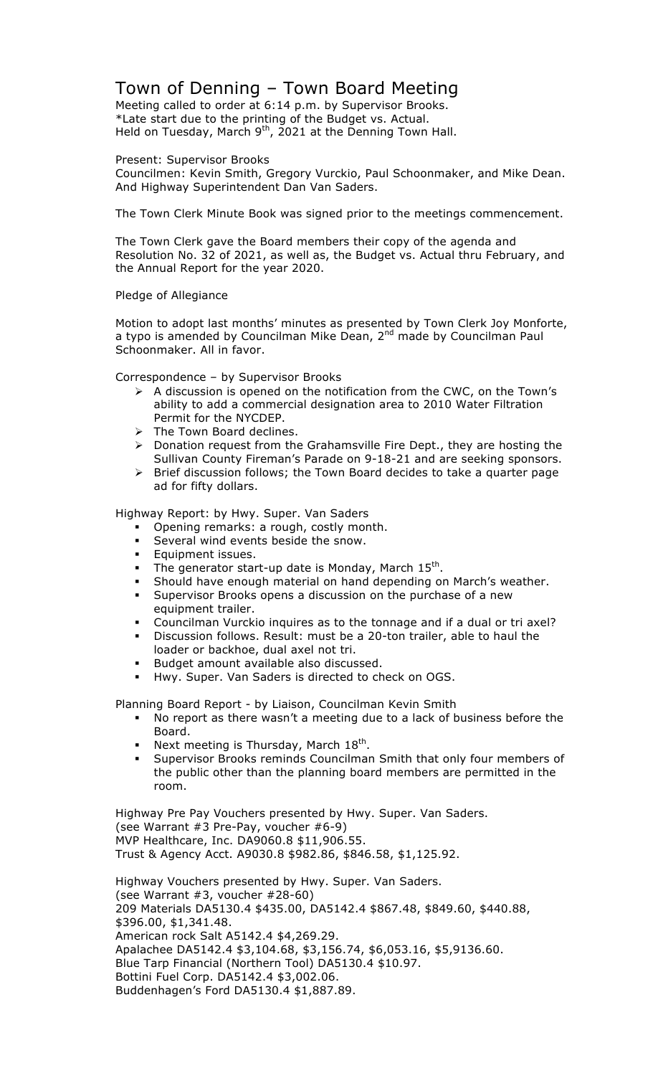## Town of Denning – Town Board Meeting

Meeting called to order at 6:14 p.m. by Supervisor Brooks. \*Late start due to the printing of the Budget vs. Actual. Held on Tuesday, March  $9<sup>th</sup>$ , 2021 at the Denning Town Hall.

Present: Supervisor Brooks

Councilmen: Kevin Smith, Gregory Vurckio, Paul Schoonmaker, and Mike Dean. And Highway Superintendent Dan Van Saders.

The Town Clerk Minute Book was signed prior to the meetings commencement.

The Town Clerk gave the Board members their copy of the agenda and Resolution No. 32 of 2021, as well as, the Budget vs. Actual thru February, and the Annual Report for the year 2020.

## Pledge of Allegiance

Motion to adopt last months' minutes as presented by Town Clerk Joy Monforte, a typo is amended by Councilman Mike Dean, 2<sup>nd</sup> made by Councilman Paul Schoonmaker. All in favor.

Correspondence – by Supervisor Brooks

- $\triangleright$  A discussion is opened on the notification from the CWC, on the Town's ability to add a commercial designation area to 2010 Water Filtration Permit for the NYCDEP.
- $\triangleright$  The Town Board declines.
- $\triangleright$  Donation request from the Grahamsville Fire Dept., they are hosting the Sullivan County Fireman's Parade on 9-18-21 and are seeking sponsors.
- $\triangleright$  Brief discussion follows; the Town Board decides to take a quarter page ad for fifty dollars.

Highway Report: by Hwy. Super. Van Saders

- " Opening remarks: a rough, costly month.
- Several wind events beside the snow.
- **Equipment issues.**
- The generator start-up date is Monday, March  $15^{th}$ .
- Should have enough material on hand depending on March's weather.
- " Supervisor Brooks opens a discussion on the purchase of a new equipment trailer.
- Councilman Vurckio inquires as to the tonnage and if a dual or tri axel?
- Discussion follows. Result: must be a 20-ton trailer, able to haul the loader or backhoe, dual axel not tri.
- Budget amount available also discussed.
- " Hwy. Super. Van Saders is directed to check on OGS.

Planning Board Report - by Liaison, Councilman Kevin Smith

- " No report as there wasn't a meeting due to a lack of business before the Board.
- Next meeting is Thursday, March  $18^{th}$ .
- Supervisor Brooks reminds Councilman Smith that only four members of the public other than the planning board members are permitted in the room.

Highway Pre Pay Vouchers presented by Hwy. Super. Van Saders. (see Warrant #3 Pre-Pay, voucher #6-9) MVP Healthcare, Inc. DA9060.8 \$11,906.55. Trust & Agency Acct. A9030.8 \$982.86, \$846.58, \$1,125.92.

Highway Vouchers presented by Hwy. Super. Van Saders. (see Warrant #3, voucher #28-60) 209 Materials DA5130.4 \$435.00, DA5142.4 \$867.48, \$849.60, \$440.88, \$396.00, \$1,341.48. American rock Salt A5142.4 \$4,269.29. Apalachee DA5142.4 \$3,104.68, \$3,156.74, \$6,053.16, \$5,9136.60. Blue Tarp Financial (Northern Tool) DA5130.4 \$10.97. Bottini Fuel Corp. DA5142.4 \$3,002.06. Buddenhagen's Ford DA5130.4 \$1,887.89.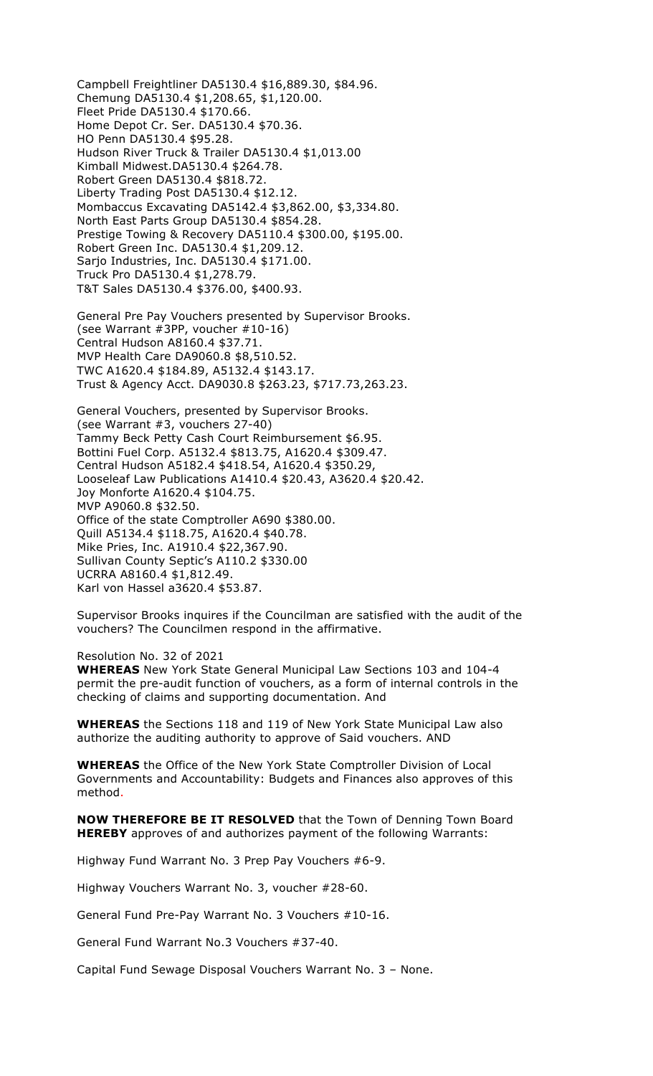Campbell Freightliner DA5130.4 \$16,889.30, \$84.96. Chemung DA5130.4 \$1,208.65, \$1,120.00. Fleet Pride DA5130.4 \$170.66. Home Depot Cr. Ser. DA5130.4 \$70.36. HO Penn DA5130.4 \$95.28. Hudson River Truck & Trailer DA5130.4 \$1,013.00 Kimball Midwest.DA5130.4 \$264.78. Robert Green DA5130.4 \$818.72. Liberty Trading Post DA5130.4 \$12.12. Mombaccus Excavating DA5142.4 \$3,862.00, \$3,334.80. North East Parts Group DA5130.4 \$854.28. Prestige Towing & Recovery DA5110.4 \$300.00, \$195.00. Robert Green Inc. DA5130.4 \$1,209.12. Sarjo Industries, Inc. DA5130.4 \$171.00. Truck Pro DA5130.4 \$1,278.79. T&T Sales DA5130.4 \$376.00, \$400.93.

General Pre Pay Vouchers presented by Supervisor Brooks. (see Warrant #3PP, voucher #10-16) Central Hudson A8160.4 \$37.71. MVP Health Care DA9060.8 \$8,510.52. TWC A1620.4 \$184.89, A5132.4 \$143.17. Trust & Agency Acct. DA9030.8 \$263.23, \$717.73,263.23.

General Vouchers, presented by Supervisor Brooks. (see Warrant #3, vouchers 27-40) Tammy Beck Petty Cash Court Reimbursement \$6.95. Bottini Fuel Corp. A5132.4 \$813.75, A1620.4 \$309.47. Central Hudson A5182.4 \$418.54, A1620.4 \$350.29, Looseleaf Law Publications A1410.4 \$20.43, A3620.4 \$20.42. Joy Monforte A1620.4 \$104.75. MVP A9060.8 \$32.50. Office of the state Comptroller A690 \$380.00. Quill A5134.4 \$118.75, A1620.4 \$40.78. Mike Pries, Inc. A1910.4 \$22,367.90. Sullivan County Septic's A110.2 \$330.00 UCRRA A8160.4 \$1,812.49. Karl von Hassel a3620.4 \$53.87.

Supervisor Brooks inquires if the Councilman are satisfied with the audit of the vouchers? The Councilmen respond in the affirmative.

Resolution No. 32 of 2021

**WHEREAS** New York State General Municipal Law Sections 103 and 104-4 permit the pre-audit function of vouchers, as a form of internal controls in the checking of claims and supporting documentation. And

**WHEREAS** the Sections 118 and 119 of New York State Municipal Law also authorize the auditing authority to approve of Said vouchers. AND

**WHEREAS** the Office of the New York State Comptroller Division of Local Governments and Accountability: Budgets and Finances also approves of this method.

**NOW THEREFORE BE IT RESOLVED** that the Town of Denning Town Board **HEREBY** approves of and authorizes payment of the following Warrants:

Highway Fund Warrant No. 3 Prep Pay Vouchers #6-9.

Highway Vouchers Warrant No. 3, voucher #28-60.

General Fund Pre-Pay Warrant No. 3 Vouchers #10-16.

General Fund Warrant No.3 Vouchers #37-40.

Capital Fund Sewage Disposal Vouchers Warrant No. 3 – None.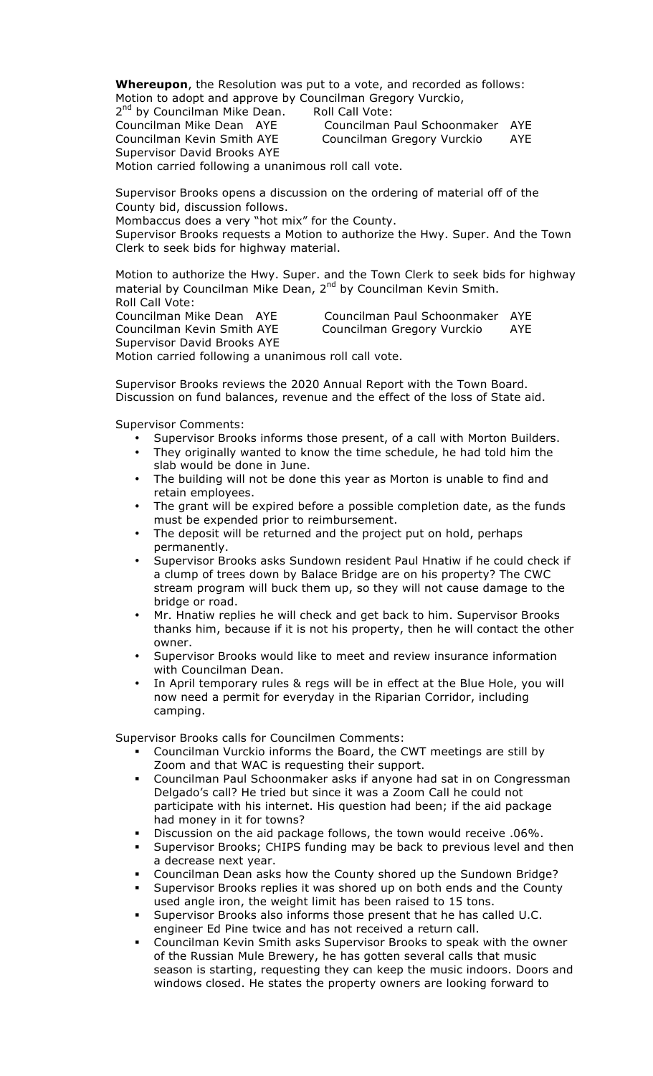**Whereupon**, the Resolution was put to a vote, and recorded as follows: Motion to adopt and approve by Councilman Gregory Vurckio,

2<sup>nd</sup> by Councilman Mike Dean. Roll Call Vote: Councilman Mike Dean AYE Councilman Paul Schoonmaker AYE Councilman Kevin Smith AYE Councilman Gregory Vurckio AYE Supervisor David Brooks AYE

Motion carried following a unanimous roll call vote.

Supervisor Brooks opens a discussion on the ordering of material off of the County bid, discussion follows.

Mombaccus does a very "hot mix" for the County.

Supervisor Brooks requests a Motion to authorize the Hwy. Super. And the Town Clerk to seek bids for highway material.

Motion to authorize the Hwy. Super. and the Town Clerk to seek bids for highway material by Councilman Mike Dean, 2<sup>nd</sup> by Councilman Kevin Smith. Roll Call Vote:

Councilman Mike Dean AYE Councilman Paul Schoonmaker AYE Councilman Kevin Smith AYE Councilman Gregory Vurckio AYE Supervisor David Brooks AYE

Motion carried following a unanimous roll call vote.

Supervisor Brooks reviews the 2020 Annual Report with the Town Board. Discussion on fund balances, revenue and the effect of the loss of State aid.

Supervisor Comments:

- Supervisor Brooks informs those present, of a call with Morton Builders.
- They originally wanted to know the time schedule, he had told him the slab would be done in June.
- The building will not be done this year as Morton is unable to find and retain employees.
- The grant will be expired before a possible completion date, as the funds must be expended prior to reimbursement.
- The deposit will be returned and the project put on hold, perhaps permanently.
- Supervisor Brooks asks Sundown resident Paul Hnatiw if he could check if a clump of trees down by Balace Bridge are on his property? The CWC stream program will buck them up, so they will not cause damage to the bridge or road.
- Mr. Hnatiw replies he will check and get back to him. Supervisor Brooks thanks him, because if it is not his property, then he will contact the other owner.
- Supervisor Brooks would like to meet and review insurance information with Councilman Dean.
- In April temporary rules & regs will be in effect at the Blue Hole, you will now need a permit for everyday in the Riparian Corridor, including camping.

Supervisor Brooks calls for Councilmen Comments:

- " Councilman Vurckio informs the Board, the CWT meetings are still by Zoom and that WAC is requesting their support.
- " Councilman Paul Schoonmaker asks if anyone had sat in on Congressman Delgado's call? He tried but since it was a Zoom Call he could not participate with his internet. His question had been; if the aid package had money in it for towns?
- Discussion on the aid package follows, the town would receive .06%.
- Supervisor Brooks; CHIPS funding may be back to previous level and then a decrease next year.
- Councilman Dean asks how the County shored up the Sundown Bridge?
- Supervisor Brooks replies it was shored up on both ends and the County used angle iron, the weight limit has been raised to 15 tons.
- Supervisor Brooks also informs those present that he has called U.C. engineer Ed Pine twice and has not received a return call.
- " Councilman Kevin Smith asks Supervisor Brooks to speak with the owner of the Russian Mule Brewery, he has gotten several calls that music season is starting, requesting they can keep the music indoors. Doors and windows closed. He states the property owners are looking forward to